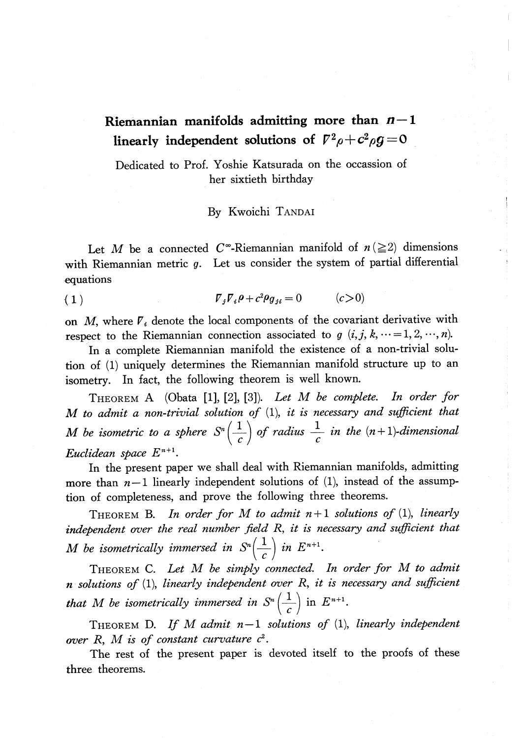## Riemannian manifolds admitting more than  $n-1$ linearly independent solutions of  $\mathcal{V}^{2}\rho+c^{2}\rho g=0$

Dedicated to Prof. Yoshie Katsurada on the occassion of her sixtieth birthday

## By Kwoichi TANDAI

Let M be a connected C<sup>\*</sup>-Riemannian manifold of  $n(\geq 2)$  dimensions with Riemannian metric  $g$ . Let us consider the system of partial differential equations

(1) \nabla\_{j}\nabla\_{i}\rho+c^{2}\rho\_{g\_{ji}}=0 (c>0)

on M, where  $V_i$  denote the local components of the covariant derivative with respect to the Riemannian connection associated to g  $(i, j, k, \cdots = 1, 2, \cdots, n)$ .

In a complete Riemannian manifold the existence of a non-trivial solution of (1) uniquely determines the Riemannian manifold structure up to an isometry. In fact, the following theorem is well known.

THEOREM A (Obata [1], [2], [3]). Let M be complete. In order for M to admit a non-trivial solution of  $(1)$ , it is necessary and sufficient that M be isometric to a sphere  $S^{n}(\frac{1}{c})$  of radius  $\frac{1}{c}$  in the  $(n+1)$ -dimensional Euclidean space  $E^{n+1}$ .

In the present paper we shall deal with Riemannian manifolds, admitting more than  $n-1$  linearly independent solutions of (1), instead of the assumption of completeness, and prove the following three theorems.

<span id="page-0-0"></span>THEOREM B. In order for M to admit  $n+1$  solutions of (1), linearly independent over the real number field R, it is necessary and sufficient that M be isometrically immersed in  $S^{n}(\frac{1}{\epsilon})$  in  $E^{n+1}$ .

THEOREM C. Let M be simply connected. In order for M to admit  $n$  solutions of (1), linearly independent over  $R$ , it is necessary and sufficient that M be isometrically immersed in  $S^{n} \left( \frac{1}{\epsilon} \right)$  in  $E^{n+1}$ .

<span id="page-0-1"></span>THEOREM D. If M admit  $n-1$  solutions of (1), linearly independent over  $R$ ,  $M$  is of constant curvature  $c^{2}$ .

The rest of the present paper is devoted itself to the proofs of these three theorems.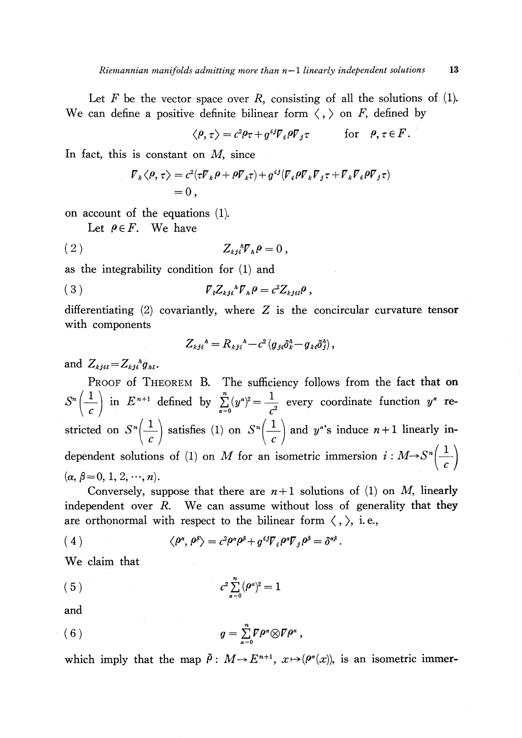Let F be the vector space over R, consisting of all the solutions of  $(1)$ . We can define a positive definite bilinear form  $\langle , \rangle$  on F, defined by

$$
\langle \rho, \tau \rangle = c^2 \rho \tau + g^{ij} \nabla_i \rho \nabla_j \tau \quad \text{for} \quad \rho, \tau \in F.
$$

In fact, this is constant on  $M$ , since

$$
\begin{split} \nabla_k \langle \rho, \tau \rangle &= c^2 (\tau \nabla_k \rho + \rho \nabla_k \tau) + g^{ij} (\nabla_i \rho \nabla_k \nabla_j \tau + \nabla_k \nabla_i \rho \nabla_j \tau) \\ &= 0 \,, \end{split}
$$

on account of the equations (1).

Let  $\rho\,{\in}\, F.$  We have

$$
(2) \t\t Z_{\iota j}{}^{\iota} \mathcal{V}_{\iota} \rho = 0 ,
$$

as the integrability condition for (1) and

$$
\nabla_{\iota}Z_{\iota j\iota}{}^{\iota} \mathcal{F}_{\iota} \rho = c^2 Z_{\iota j\iota l} \rho \;,
$$

differentiating  $(2)$  covariantly, where Z is the concircular curvature tensor with components

$$
Z_{kji}^{\quad \, \lambda} = R_{kji}^{\quad \, \lambda} - c^2 \left( g_{ji} \delta_k^{\lambda} - g_{ki} \delta_j^{\lambda} \right),
$$

and  $Z_{kjil}$   $=$   $Z_{kji}^{\phantom{ik}h}g_{\phantom{ik}h\phantom{jk}l}$  .

PROOF of THEOREM B. The sufficiency follows from the fact that on  $S^{n}(\frac{1}{c})$  in  $E^{n+1}$  defined by  $\sum_{\alpha=0}^{n}(y^{\alpha})^{2}=\frac{1}{c^{2}}$  every coordinate function  $y^{\alpha}$  restricted on  $S^{n}(\frac{1}{c})$  satisfies (1) on  $S^{n}(\frac{1}{c})$  and  $y^{\alpha}$ 's induce  $n+1$  linearly independent solutions of (1) on M for an isometric immersion  $i: M \rightarrow S^{n}(\frac{1}{c})$  $(\alpha, \beta=0,1,2, \cdots, n)$ .

Conversely, suppose that there are  $n+1$  solutions of (1) on M, linearly independent over  $R$ . We can assume without loss of generality that they are orthonormal with respect to the bilinear form  $\langle$  ,  $\rangle$ , i.e.,

(4) 
$$
\langle \rho^{\alpha}, \rho^{\beta} \rangle = c^2 \rho^{\alpha} \rho^{\beta} + g^{ij} \nabla_i \rho^{\alpha} \nabla_j \rho^{\beta} = \delta^{\alpha \beta}.
$$

We claim that

(5) 
$$
c^2 \sum_{\alpha=0}^n (\rho^{\alpha})^2 = 1
$$

and

(6) 
$$
g = \sum_{\alpha=0}^n \mathcal{I} \rho^{\alpha} \otimes \mathcal{I} \rho^{\alpha},
$$

which imply that the map  $\tilde{\rho}:M\rightarrow E^{n+1}, x\mapsto(\rho^{\alpha}(x))$ , is an isometric immer-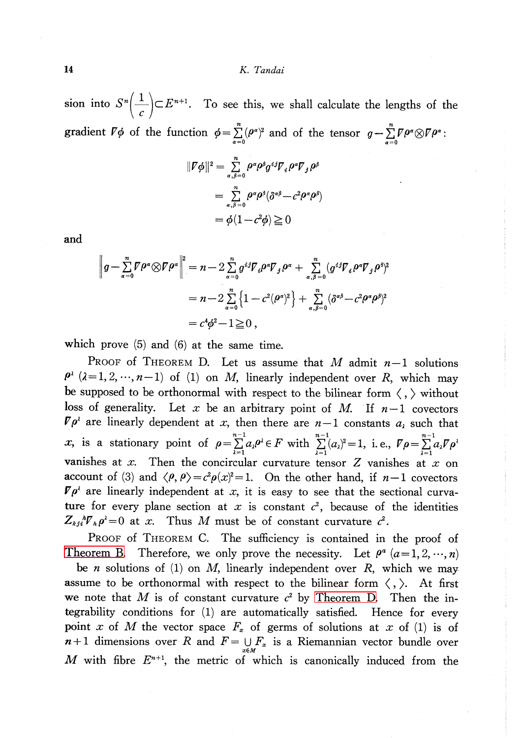sion into  $S^{n}(\frac{1}{c})\subset E^{n+1}$ . To see this, we shall calculate the lengths of the gradient  $\nabla\phi$  of the function  $\phi=\sum_{\alpha=0}^{n}(\rho^{\alpha})^{2}$  and of the tensor  $g-\sum_{\alpha=0}^{n}\nabla\rho^{\alpha}\otimes\nabla\rho^{\alpha}$ :

$$
\begin{aligned} ||\nabla \phi||^2 &= \sum_{\alpha,\beta=0}^n \rho^{\alpha} \rho^{\beta} g^{\beta} \nabla_{\beta} \rho^{\alpha} \nabla_{\beta} \rho^{\beta} \\ &= \sum_{\alpha,\beta=0}^n \rho^{\alpha} \rho^{\beta} (\delta^{\alpha\beta} - c^2 \rho^{\alpha} \rho^{\beta}) \\ &= \phi (1 - c^2 \phi) \ge 0 \end{aligned}
$$

and

$$
\left\|g - \sum_{\alpha=0}^{n} \mathbf{\nabla} \rho^{\alpha} \otimes \mathbf{\nabla} \rho^{\alpha}\right\|^{2} = n - 2 \sum_{\alpha=0}^{n} g^{ij} \nabla_{i} \rho^{\alpha} \nabla_{j} \rho^{\alpha} + \sum_{\alpha,\beta=0}^{n} (g^{ij} \nabla_{i} \rho^{\alpha} \nabla_{j} \rho^{\beta})^{2}
$$
  
=  $n - 2 \sum_{\alpha=0}^{n} \left\{1 - c^{2} (\rho^{\alpha})^{2}\right\} + \sum_{\alpha,\beta=0}^{n} (\delta^{\alpha\beta} - c^{2} \rho^{\alpha} \rho^{\beta})^{2}$   
=  $c^{4} \phi^{2} - 1 \ge 0$ ,

which prove (5) and (6) at the same time.

PROOF of THEOREM D. Let us assume that M admit  $n-1$  solutions  $\rho^{\lambda}$  ( $\lambda=1,2, \dots, n - 1$ ) of (1) on M, linearly independent over R, which may be supposed to be orthonormal with respect to the bilinear form  $\langle \, , \rangle$  without loss of generality. Let x be an arbitrary point of M. If  $n-1$  covectors  $\nabla\rho^{\lambda}$  are linearly dependent at x, then there are  $n - 1$  constants  $a_{\lambda}$  such that x, is a stationary point of  $\rho=\sum_{\alpha}a_{\alpha}\rho^{\alpha}\in F$  with  $\sum_{\alpha=1}^{n-1}(a_{\alpha})^{2}=1$ , i.e.,  $\nabla\rho=\sum_{\alpha}a_{\alpha}\nabla\rho^{\alpha}$ vanishes at x. Then the concircular curvature tensor  $Z$  vanishes at  $x$  on account of (3) and  $\langle\rho, \rho\rangle = c^{2}\rho(x)^{2}=1$ . On the other hand, if  $n - 1$  covectors  $\nabla\rho^{\lambda}$  are linearly independent at x, it is easy to see that the sectional curvature for every plane section at x is constant  $c^{2}$ , because of the identities  $Z_{\kappa j i}{}^{\hbar}\mathcal{V}_{\hbar}\rho^{\lambda}=0$  at x. Thus M must be of constant curvature  $c^{2}$ .

PROOF of THEOREM C. The sufficiency is contained in the proof of [Theorem](#page-0-0) B. Therefore, we only prove the necessity. Let  $\rho^{a}(a=1,2, \dots, n)$ be *n* solutions of (1) on *M*, linearly independent over *R*, which we may assume to be orthonormal with respect to the bilinear form  $\langle \, , \, \rangle$ . At first we note that M is of constant curvature  $c^{2}$  by [Theorem](#page-0-1) D. Then the integrability conditions for (1) are automatically satisfied. Hence for every point x of M the vector space  $F_{x}$  of germs of solutions at x of (1) is of  $n+1$  dimensions over R and  $F = \bigcup_{x \in M} F_x$  is a Riemannian vector bundle over  $M$  with fibre  $E^{n+1}$ , the metric of which is canonically induced from the